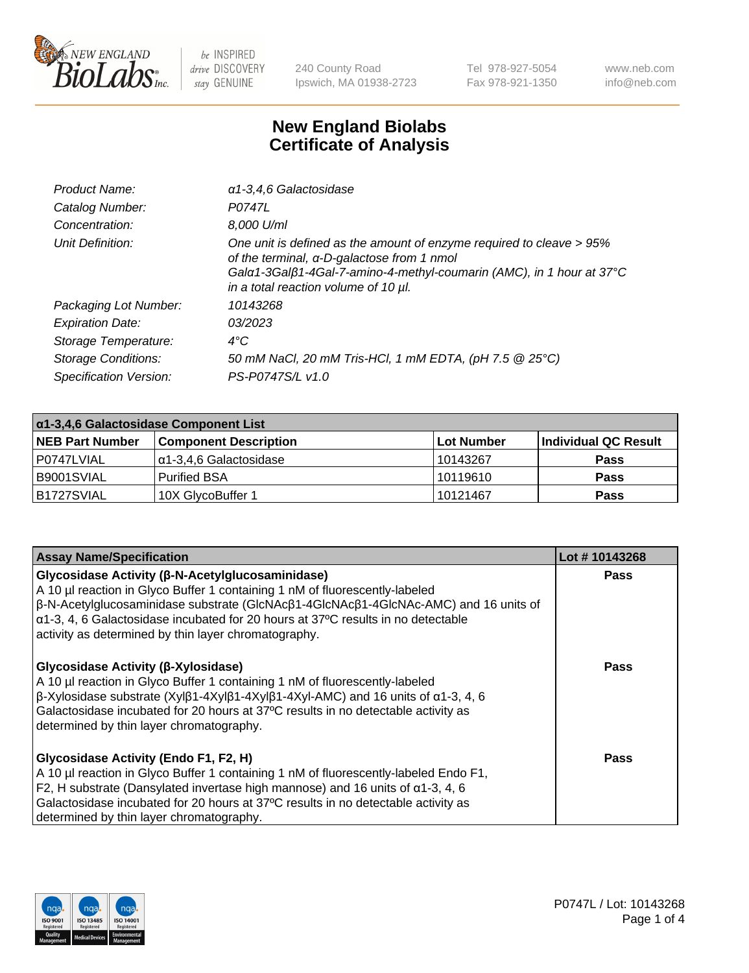

240 County Road Ipswich, MA 01938-2723 Tel 978-927-5054 Fax 978-921-1350 www.neb.com info@neb.com

## **New England Biolabs Certificate of Analysis**

| Product Name:              | a1-3,4,6 Galactosidase                                                                                                                                                                                                             |
|----------------------------|------------------------------------------------------------------------------------------------------------------------------------------------------------------------------------------------------------------------------------|
| Catalog Number:            | P0747L                                                                                                                                                                                                                             |
| Concentration:             | 8,000 U/ml                                                                                                                                                                                                                         |
| Unit Definition:           | One unit is defined as the amount of enzyme required to cleave > 95%<br>of the terminal, α-D-galactose from 1 nmol<br>Gala1-3Galß1-4Gal-7-amino-4-methyl-coumarin (AMC), in 1 hour at 37°C<br>in a total reaction volume of 10 µl. |
| Packaging Lot Number:      | 10143268                                                                                                                                                                                                                           |
| <b>Expiration Date:</b>    | 03/2023                                                                                                                                                                                                                            |
| Storage Temperature:       | $4^{\circ}$ C                                                                                                                                                                                                                      |
| <b>Storage Conditions:</b> | 50 mM NaCl, 20 mM Tris-HCl, 1 mM EDTA, (pH 7.5 @ 25°C)                                                                                                                                                                             |
| Specification Version:     | PS-P0747S/L v1.0                                                                                                                                                                                                                   |

| α1-3,4,6 Galactosidase Component List |                              |             |                      |  |
|---------------------------------------|------------------------------|-------------|----------------------|--|
| <b>NEB Part Number</b>                | <b>Component Description</b> | ⊺Lot Number | Individual QC Result |  |
| P0747LVIAL                            | α1-3,4,6 Galactosidase       | 10143267    | <b>Pass</b>          |  |
| B9001SVIAL                            | <b>Purified BSA</b>          | 10119610    | <b>Pass</b>          |  |
| B1727SVIAL                            | 10X GlycoBuffer 1            | 10121467    | <b>Pass</b>          |  |

| <b>Assay Name/Specification</b>                                                                                                                                                                                                                                                                                                                                                                           | Lot #10143268 |
|-----------------------------------------------------------------------------------------------------------------------------------------------------------------------------------------------------------------------------------------------------------------------------------------------------------------------------------------------------------------------------------------------------------|---------------|
| <b>Glycosidase Activity (β-N-Acetylglucosaminidase)</b><br>A 10 µl reaction in Glyco Buffer 1 containing 1 nM of fluorescently-labeled<br>$\beta$ -N-Acetylglucosaminidase substrate (GIcNAc $\beta$ 1-4GIcNAc $\beta$ 1-4GIcNAc-AMC) and 16 units of<br>$\alpha$ 1-3, 4, 6 Galactosidase incubated for 20 hours at 37°C results in no detectable<br>activity as determined by thin layer chromatography. | Pass          |
| Glycosidase Activity (β-Xylosidase)<br>A 10 µl reaction in Glyco Buffer 1 containing 1 nM of fluorescently-labeled<br>$\beta$ -Xylosidase substrate (Xylβ1-4Xylβ1-4Xylβ1-4Xyl-AMC) and 16 units of α1-3, 4, 6<br>Galactosidase incubated for 20 hours at 37°C results in no detectable activity as<br>determined by thin layer chromatography.                                                            | <b>Pass</b>   |
| <b>Glycosidase Activity (Endo F1, F2, H)</b><br>A 10 µl reaction in Glyco Buffer 1 containing 1 nM of fluorescently-labeled Endo F1,<br>F2, H substrate (Dansylated invertase high mannose) and 16 units of $\alpha$ 1-3, 4, 6<br>Galactosidase incubated for 20 hours at 37°C results in no detectable activity as<br>determined by thin layer chromatography.                                           | Pass          |

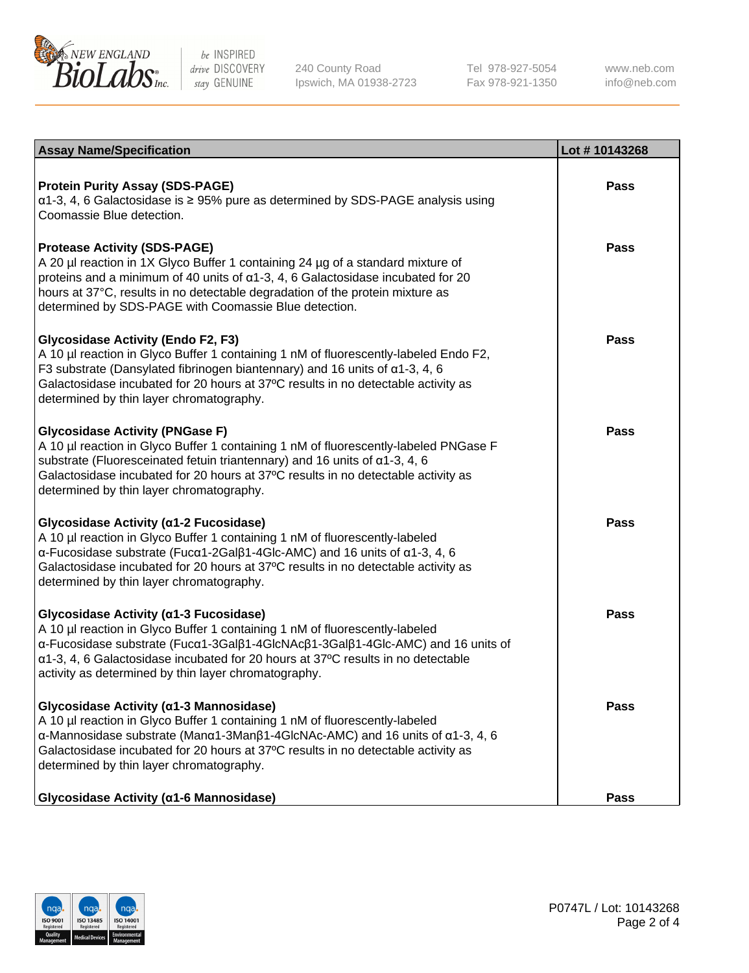

240 County Road Ipswich, MA 01938-2723 Tel 978-927-5054 Fax 978-921-1350 www.neb.com info@neb.com

| <b>Assay Name/Specification</b>                                                                                                                                                                                                                                                                                                                                           | Lot #10143268 |
|---------------------------------------------------------------------------------------------------------------------------------------------------------------------------------------------------------------------------------------------------------------------------------------------------------------------------------------------------------------------------|---------------|
| <b>Protein Purity Assay (SDS-PAGE)</b><br>$\alpha$ 1-3, 4, 6 Galactosidase is $\geq$ 95% pure as determined by SDS-PAGE analysis using<br>Coomassie Blue detection.                                                                                                                                                                                                       | <b>Pass</b>   |
| <b>Protease Activity (SDS-PAGE)</b><br>A 20 µl reaction in 1X Glyco Buffer 1 containing 24 µg of a standard mixture of<br>proteins and a minimum of 40 units of $\alpha$ 1-3, 4, 6 Galactosidase incubated for 20<br>hours at 37°C, results in no detectable degradation of the protein mixture as<br>determined by SDS-PAGE with Coomassie Blue detection.               | <b>Pass</b>   |
| <b>Glycosidase Activity (Endo F2, F3)</b><br>A 10 µl reaction in Glyco Buffer 1 containing 1 nM of fluorescently-labeled Endo F2,<br>F3 substrate (Dansylated fibrinogen biantennary) and 16 units of $\alpha$ 1-3, 4, 6<br>Galactosidase incubated for 20 hours at 37°C results in no detectable activity as<br>determined by thin layer chromatography.                 | <b>Pass</b>   |
| <b>Glycosidase Activity (PNGase F)</b><br>A 10 µl reaction in Glyco Buffer 1 containing 1 nM of fluorescently-labeled PNGase F<br>substrate (Fluoresceinated fetuin triantennary) and 16 units of $\alpha$ 1-3, 4, 6<br>Galactosidase incubated for 20 hours at 37°C results in no detectable activity as<br>determined by thin layer chromatography.                     | <b>Pass</b>   |
| Glycosidase Activity (α1-2 Fucosidase)<br>A 10 µl reaction in Glyco Buffer 1 containing 1 nM of fluorescently-labeled<br>$\alpha$ -Fucosidase substrate (Fuc $\alpha$ 1-2Gal $\beta$ 1-4Glc-AMC) and 16 units of $\alpha$ 1-3, 4, 6<br>Galactosidase incubated for 20 hours at 37°C results in no detectable activity as<br>determined by thin layer chromatography.      | <b>Pass</b>   |
| Glycosidase Activity (a1-3 Fucosidase)<br>A 10 µl reaction in Glyco Buffer 1 containing 1 nM of fluorescently-labeled<br>α-Fucosidase substrate (Fucα1-3Galβ1-4GlcNAcβ1-3Galβ1-4Glc-AMC) and 16 units of<br>$\alpha$ 1-3, 4, 6 Galactosidase incubated for 20 hours at 37°C results in no detectable<br>activity as determined by thin layer chromatography.              | <b>Pass</b>   |
| Glycosidase Activity (α1-3 Mannosidase)<br>A 10 µl reaction in Glyco Buffer 1 containing 1 nM of fluorescently-labeled<br>$\alpha$ -Mannosidase substrate (Man $\alpha$ 1-3Man $\beta$ 1-4GlcNAc-AMC) and 16 units of $\alpha$ 1-3, 4, 6<br>Galactosidase incubated for 20 hours at 37°C results in no detectable activity as<br>determined by thin layer chromatography. | <b>Pass</b>   |
| Glycosidase Activity (α1-6 Mannosidase)                                                                                                                                                                                                                                                                                                                                   | <b>Pass</b>   |

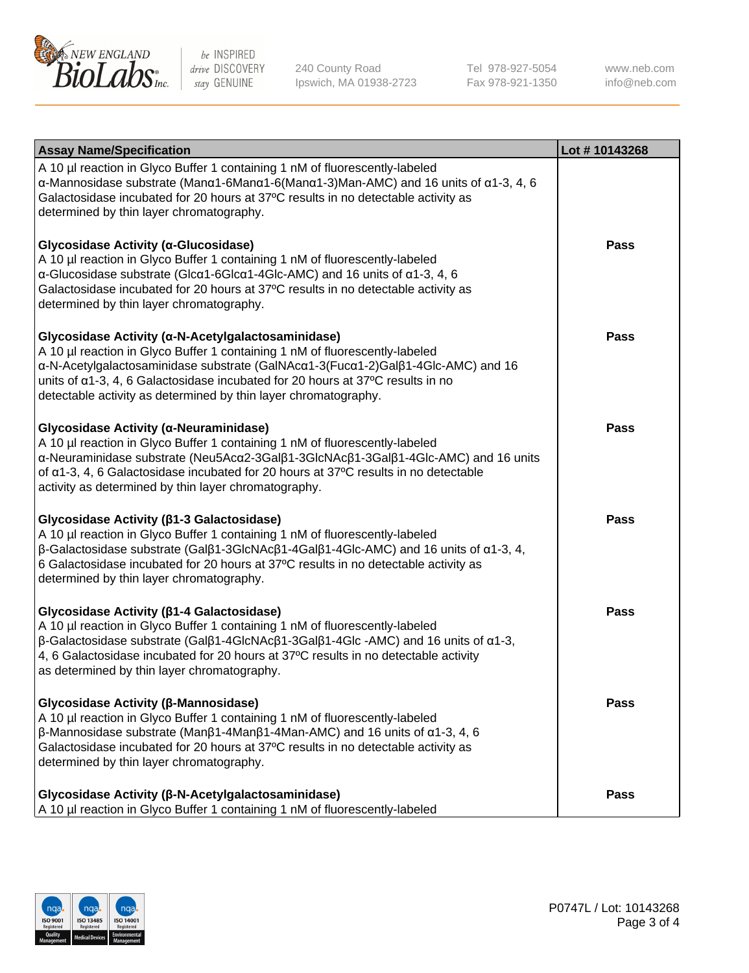

240 County Road Ipswich, MA 01938-2723 Tel 978-927-5054 Fax 978-921-1350 www.neb.com info@neb.com

| <b>Assay Name/Specification</b>                                                                                                                                                                                                                                                                                                                                                            | Lot #10143268 |
|--------------------------------------------------------------------------------------------------------------------------------------------------------------------------------------------------------------------------------------------------------------------------------------------------------------------------------------------------------------------------------------------|---------------|
| A 10 µl reaction in Glyco Buffer 1 containing 1 nM of fluorescently-labeled<br>$\alpha$ -Mannosidase substrate (Man $\alpha$ 1-6Man $\alpha$ 1-6(Man $\alpha$ 1-3)Man-AMC) and 16 units of $\alpha$ 1-3, 4, 6<br>Galactosidase incubated for 20 hours at 37°C results in no detectable activity as<br>determined by thin layer chromatography.                                             |               |
| Glycosidase Activity (α-Glucosidase)<br>A 10 µl reaction in Glyco Buffer 1 containing 1 nM of fluorescently-labeled<br>$\alpha$ -Glucosidase substrate (Glc $\alpha$ 1-6Glc $\alpha$ 1-4Glc-AMC) and 16 units of $\alpha$ 1-3, 4, 6<br>Galactosidase incubated for 20 hours at 37°C results in no detectable activity as<br>determined by thin layer chromatography.                       | <b>Pass</b>   |
| Glycosidase Activity (α-N-Acetylgalactosaminidase)<br>A 10 µl reaction in Glyco Buffer 1 containing 1 nM of fluorescently-labeled<br>α-N-Acetylgalactosaminidase substrate (GalNAcα1-3(Fucα1-2)Galβ1-4Glc-AMC) and 16<br>units of $\alpha$ 1-3, 4, 6 Galactosidase incubated for 20 hours at 37°C results in no<br>detectable activity as determined by thin layer chromatography.         | Pass          |
| Glycosidase Activity (α-Neuraminidase)<br>A 10 µl reaction in Glyco Buffer 1 containing 1 nM of fluorescently-labeled<br>α-Neuraminidase substrate (Neu5Acα2-3Galβ1-3GlcNAcβ1-3Galβ1-4Glc-AMC) and 16 units<br>of $\alpha$ 1-3, 4, 6 Galactosidase incubated for 20 hours at 37°C results in no detectable<br>activity as determined by thin layer chromatography.                         | Pass          |
| Glycosidase Activity (β1-3 Galactosidase)<br>A 10 µl reaction in Glyco Buffer 1 containing 1 nM of fluorescently-labeled<br>$\beta$ -Galactosidase substrate (Gal $\beta$ 1-3GlcNAc $\beta$ 1-4Gal $\beta$ 1-4Glc-AMC) and 16 units of $\alpha$ 1-3, 4,<br>6 Galactosidase incubated for 20 hours at 37°C results in no detectable activity as<br>determined by thin layer chromatography. | <b>Pass</b>   |
| Glycosidase Activity (β1-4 Galactosidase)<br>A 10 µl reaction in Glyco Buffer 1 containing 1 nM of fluorescently-labeled<br>β-Galactosidase substrate (Galβ1-4GlcNAcβ1-3Galβ1-4Glc -AMC) and 16 units of α1-3,<br>4, 6 Galactosidase incubated for 20 hours at 37°C results in no detectable activity<br>as determined by thin layer chromatography.                                       | Pass          |
| Glycosidase Activity (β-Mannosidase)<br>A 10 µl reaction in Glyco Buffer 1 containing 1 nM of fluorescently-labeled<br>$\beta$ -Mannosidase substrate (Man $\beta$ 1-4Man $\beta$ 1-4Man-AMC) and 16 units of $\alpha$ 1-3, 4, 6<br>Galactosidase incubated for 20 hours at 37°C results in no detectable activity as<br>determined by thin layer chromatography.                          | <b>Pass</b>   |
| Glycosidase Activity (β-N-Acetylgalactosaminidase)<br>A 10 µl reaction in Glyco Buffer 1 containing 1 nM of fluorescently-labeled                                                                                                                                                                                                                                                          | <b>Pass</b>   |